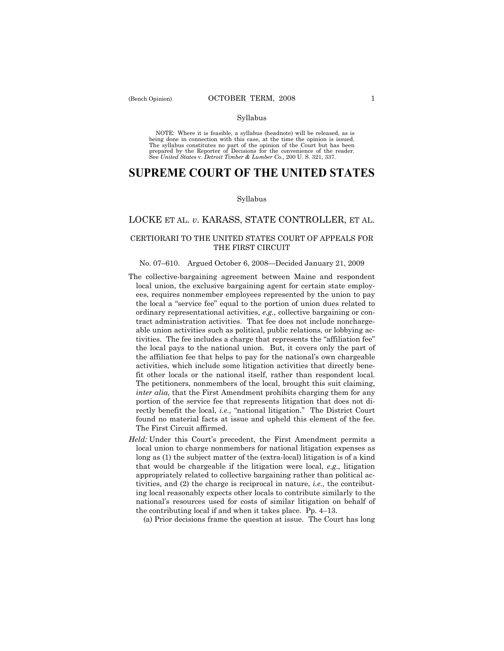### Syllabus

NOTE: Where it is feasible, a syllabus (headnote) will be released, as is being done in connection with this case, at the time the opinion is issued. The syllabus constitutes no part of the opinion of the Court but has been<br>prepared by the Reporter of Decisions for the convenience of the reader.<br>See United States v. Detroit Timber & Lumber Co., 200 U. S. 321, 337.

# **SUPREME COURT OF THE UNITED STATES**

### Syllabus

## LOCKE ET AL. *v*. KARASS, STATE CONTROLLER, ET AL.

## CERTIORARI TO THE UNITED STATES COURT OF APPEALS FOR THE FIRST CIRCUIT

## No. 07–610. Argued October 6, 2008—Decided January 21, 2009

- The collective-bargaining agreement between Maine and respondent local union, the exclusive bargaining agent for certain state employees, requires nonmember employees represented by the union to pay the local a "service fee" equal to the portion of union dues related to ordinary representational activities, *e.g.,* collective bargaining or contract administration activities. That fee does not include nonchargeable union activities such as political, public relations, or lobbying activities. The fee includes a charge that represents the "affiliation fee" the local pays to the national union. But, it covers only the part of the affiliation fee that helps to pay for the national's own chargeable activities, which include some litigation activities that directly benefit other locals or the national itself, rather than respondent local. The petitioners, nonmembers of the local, brought this suit claiming, *inter alia,* that the First Amendment prohibits charging them for any portion of the service fee that represents litigation that does not directly benefit the local, *i.e.,* "national litigation." The District Court found no material facts at issue and upheld this element of the fee. The First Circuit affirmed.
- *Held:* Under this Court's precedent, the First Amendment permits a local union to charge nonmembers for national litigation expenses as long as (1) the subject matter of the (extra-local) litigation is of a kind that would be chargeable if the litigation were local, *e.g.,* litigation appropriately related to collective bargaining rather than political activities, and (2) the charge is reciprocal in nature, *i.e.,* the contributing local reasonably expects other locals to contribute similarly to the national's resources used for costs of similar litigation on behalf of the contributing local if and when it takes place. Pp. 4–13.

(a) Prior decisions frame the question at issue. The Court has long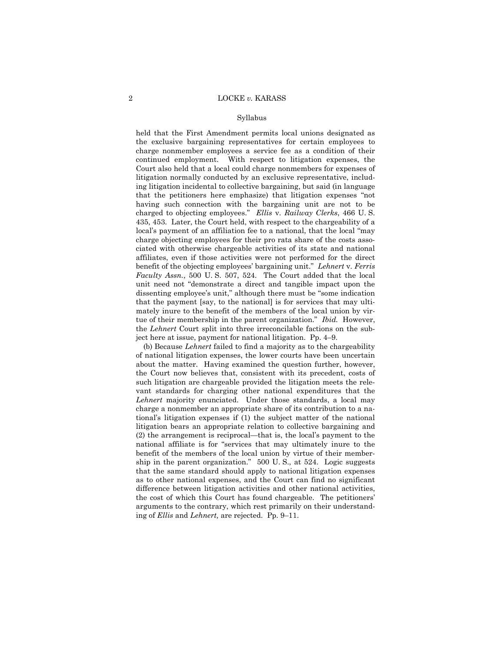#### Syllabus

held that the First Amendment permits local unions designated as the exclusive bargaining representatives for certain employees to charge nonmember employees a service fee as a condition of their continued employment. With respect to litigation expenses, the Court also held that a local could charge nonmembers for expenses of litigation normally conducted by an exclusive representative, including litigation incidental to collective bargaining, but said (in language that the petitioners here emphasize) that litigation expenses "not having such connection with the bargaining unit are not to be charged to objecting employees." *Ellis* v. *Railway Clerks*, 466 U. S. 435, 453. Later, the Court held, with respect to the chargeability of a local's payment of an affiliation fee to a national, that the local "may charge objecting employees for their pro rata share of the costs associated with otherwise chargeable activities of its state and national affiliates, even if those activities were not performed for the direct benefit of the objecting employees' bargaining unit." *Lehnert* v. *Ferris Faculty Assn.*, 500 U. S. 507, 524. The Court added that the local unit need not "demonstrate a direct and tangible impact upon the dissenting employee's unit," although there must be "some indication that the payment [say, to the national] is for services that may ultimately inure to the benefit of the members of the local union by virtue of their membership in the parent organization." *Ibid.* However, the *Lehnert* Court split into three irreconcilable factions on the subject here at issue, payment for national litigation. Pp. 4–9.

 (b) Because *Lehnert* failed to find a majority as to the chargeability of national litigation expenses, the lower courts have been uncertain about the matter. Having examined the question further, however, the Court now believes that, consistent with its precedent, costs of such litigation are chargeable provided the litigation meets the relevant standards for charging other national expenditures that the *Lehnert* majority enunciated. Under those standards, a local may charge a nonmember an appropriate share of its contribution to a national's litigation expenses if (1) the subject matter of the national litigation bears an appropriate relation to collective bargaining and (2) the arrangement is reciprocal—that is, the local's payment to the national affiliate is for "services that may ultimately inure to the benefit of the members of the local union by virtue of their membership in the parent organization." 500 U. S., at 524. Logic suggests that the same standard should apply to national litigation expenses as to other national expenses, and the Court can find no significant difference between litigation activities and other national activities, the cost of which this Court has found chargeable. The petitioners' arguments to the contrary, which rest primarily on their understanding of *Ellis* and *Lehnert,* are rejected.Pp. 9–11.